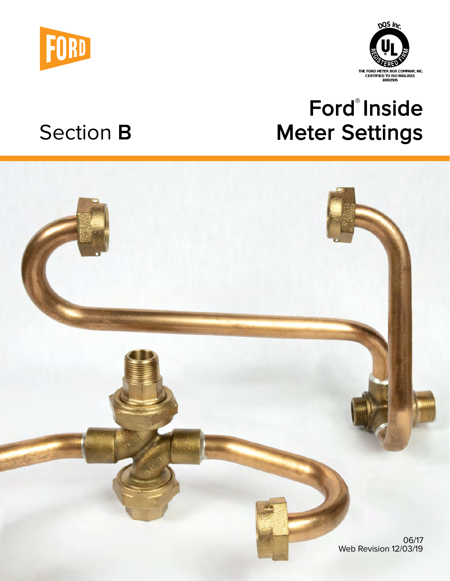



# Ford® Inside Section B Meter Settings

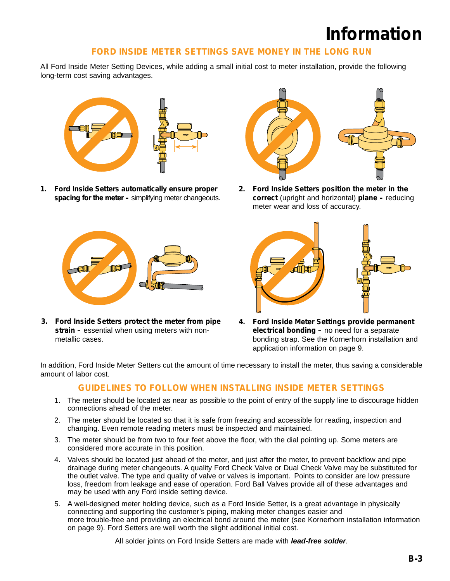## **Information**

### **FORD INSIDE METER SETTINGS SAVE MONEY IN THE LONG RUN**

All Ford Inside Meter Setting Devices, while adding a small initial cost to meter installation, provide the following long-term cost saving advantages.



**1. Ford Inside Setters automatically ensure proper spacing for the meter –** simplifying meter changeouts.



**2. Ford Inside Setters position the meter in the correct** (upright and horizontal) **plane –** reducing meter wear and loss of accuracy.



**3. Ford Inside Setters protect the meter from pipe strain –** essential when using meters with non metallic cases.



**4. Ford Inside Meter Settings provide permanent electrical bonding –** no need for a separate bonding strap. See the Kornerhorn installation and application information on page 9.

In addition, Ford Inside Meter Setters cut the amount of time necessary to install the meter, thus saving a considerable amount of labor cost.

### **GUIDELINES TO FOLLOW WHEN INSTALLING INSIDE METER SETTINGS**

- 1. The meter should be located as near as possible to the point of entry of the supply line to discourage hidden connections ahead of the meter.
- 2. The meter should be located so that it is safe from freezing and accessible for reading, inspection and changing. Even remote reading meters must be inspected and maintained.
- 3. The meter should be from two to four feet above the floor, with the dial pointing up. Some meters are considered more accurate in this position.
- 4. Valves should be located just ahead of the meter, and just after the meter, to prevent backflow and pipe drainage during meter changeouts. A quality Ford Check Valve or Dual Check Valve may be substituted for the outlet valve. The type and quality of valve or valves is important. Points to consider are low pressure loss, freedom from leakage and ease of operation. Ford Ball Valves provide all of these advantages and may be used with any Ford inside setting device.
- 5. A well-designed meter holding device, such as a Ford Inside Setter, is a great advantage in physically connecting and supporting the customer's piping, making meter changes easier and more trouble-free and providing an electrical bond around the meter (see Kornerhorn installation information on page 9). Ford Setters are well worth the slight additional initial cost.

All solder joints on Ford Inside Setters are made with *lead-free solder.*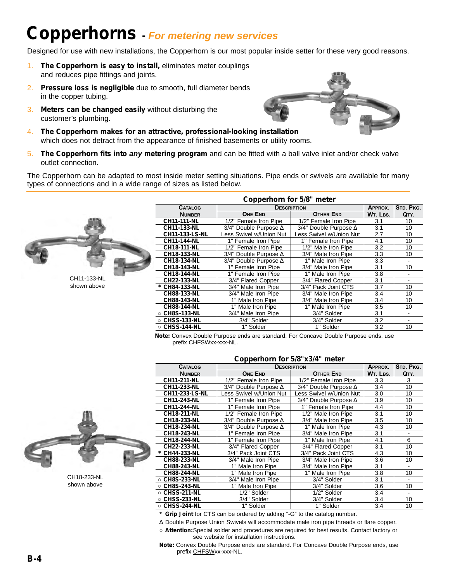## **Copperhorns -** *For metering new services*

Designed for use with new installations, the Copperhorn is our most popular inside setter for these very good reasons.

- 1. **The Copperhorn is easy to install,** eliminates meter couplings and reduces pipe fittings and joints.
- 2. **Pressure loss is negligible** due to smooth, full diameter bends in the copper tubing.
- 3. **Meters can be changed easily** without disturbing the customer's plumbing.



- 4. **The Copperhorn makes for an attractive, professional-looking installation** which does not detract from the appearance of finished basements or utility rooms.
- 5. **The Copperhorn fits into** *any* **metering program** and can be fitted with a ball valve inlet and/or check valve outlet connection.

The Copperhorn can be adapted to most inside meter setting situations. Pipe ends or swivels are available for many types of connections and in a wide range of sizes as listed below.

|             |                       | Copperhorn for 5/8" meter    |                              |                                                   |           |
|-------------|-----------------------|------------------------------|------------------------------|---------------------------------------------------|-----------|
|             | <b>CATALOG</b>        | <b>DESCRIPTION</b>           |                              | APPROX.                                           | STD. PKG. |
|             | <b>NUMBER</b>         | <b>ONE END</b>               | <b>OTHER END</b>             | WT. LBS.                                          | QTY.      |
|             | <b>CH11-111-NL</b>    | 1/2" Female Iron Pipe        | 1/2" Female Iron Pipe        | 3.1                                               | 10        |
|             | <b>CH11-133-NL</b>    | 3/4" Double Purpose $\Delta$ | 3/4" Double Purpose $\Delta$ | 3.1                                               | 10        |
|             | <b>CH11-133-LS-NL</b> | Less Swivel w/Union Nut      | Less Swivel w/Union Nut      | 2.7                                               | 10        |
|             | <b>CH11-144-NL</b>    | 1" Female Iron Pipe          | 1" Female Iron Pipe          | 4.1                                               | 10        |
|             | <b>CH18-111-NL</b>    | 1/2" Female Iron Pipe        | 1/2" Male Iron Pipe          | 3.2                                               | 10        |
|             | CH18-133-NL           | 3/4" Double Purpose $\Delta$ | 3/4" Male Iron Pipe          | 3.3                                               | 10        |
|             | <b>CH18-134-NL</b>    | 3/4" Double Purpose $\Delta$ | 1" Male Iron Pipe            | 3.3                                               |           |
|             | CH18-143-NL           | 1" Female Iron Pipe          | 3/4" Male Iron Pipe          | 3.1                                               | 10        |
|             | CH18-144-NL           | 1" Female Iron Pipe          | 1" Male Iron Pipe            | 3.8                                               |           |
| CH11-133-NL | <b>CH22-133-NL</b>    | 3/4" Flared Copper           | 3/4" Flared Copper           | 3.1                                               |           |
| shown above | CH84-133-NL           | 3/4" Male Iron Pipe          | 3/4" Pack Joint CTS          | 3.7                                               | 10        |
|             | CH88-133-NL           | 3/4" Male Iron Pipe          | 3/4" Male Iron Pipe          | 3.4                                               | 10        |
|             | CH88-143-NL           | 1" Male Iron Pipe            | 3/4" Male Iron Pipe          | 3.4<br>10<br>10<br>3.5<br>3.1<br>3.2<br>3.2<br>10 |           |
|             | <b>CH88-144-NL</b>    | 1" Male Iron Pipe            | 1" Male Iron Pipe            |                                                   |           |
|             | ○ CH8S-133-NL         | 3/4" Male Iron Pipe          | 3/4" Solder                  |                                                   |           |
|             | ○ CHSS-133-NL         | 3/4" Solder                  | 3/4" Solder                  |                                                   |           |
|             | ○ CHSS-144-NL         | 1" Solder                    | 1" Solder                    |                                                   |           |

**Note:** Convex Double Purpose ends are standard. For Concave Double Purpose ends, use prefix CHFSWxx-xxx-NL.

### **Copperhorn for 5/8"x3/4" meter**

| <b>CATALOG</b>        | <b>DESCRIPTION</b>           |                              | APPROX.          | STD. PKG.      |
|-----------------------|------------------------------|------------------------------|------------------|----------------|
| <b>NUMBER</b>         | <b>ONE END</b>               | OTHER END                    | WT. LBS.         | QTY.           |
| <b>CH11-211-NL</b>    | 1/2" Female Iron Pipe        | 1/2" Female Iron Pipe        | 3.3 <sub>2</sub> | 3              |
| <b>CH11-233-NL</b>    | 3/4" Double Purpose $\Delta$ | 3/4" Double Purpose $\Delta$ | 3.4              | 10             |
| <b>CH11-233-LS-NL</b> | Less Swivel w/Union Nut      | Less Swivel w/Union Nut      | 3.0              | 10             |
| <b>CH11-243-NL</b>    | 1" Female Iron Pipe          | 3/4" Double Purpose $\Delta$ | 3.9              | 10             |
| <b>CH11-244-NL</b>    | 1" Female Iron Pipe          | 1" Female Iron Pipe          | 4.4              | 10             |
| <b>CH18-211-NL</b>    | 1/2" Female Iron Pipe        | 1/2" Male Iron Pipe          | 3.1              | 10             |
| <b>CH18-233-NL</b>    | 3/4" Double Purpose $\Delta$ | 3/4" Male Iron Pipe          | 3.5              | 10             |
| <b>CH18-234-NL</b>    | 3/4" Double Purpose $\Delta$ | 1" Male Iron Pipe            | 4.3              | 10             |
| CH18-243-NL           | 1" Female Iron Pipe          | 3/4" Male Iron Pipe          | 3.1              |                |
| <b>CH18-244-NL</b>    | 1" Female Iron Pipe          | 1" Male Iron Pipe            | 4.1              | 6              |
| <b>CH22-233-NL</b>    | 3/4" Flared Copper           | 3/4" Flared Copper           | 3.1              | 10             |
| * CH44-233-NL         | 3/4" Pack Joint CTS          | 3/4" Pack Joint CTS          | 4.3              | 10             |
| <b>CH88-233-NL</b>    | 3/4" Male Iron Pipe          | 3/4" Male Iron Pipe          | 3.6              | 10             |
| CH88-243-NL           | 1" Male Iron Pipe            | 3/4" Male Iron Pipe          | 3.1              |                |
| <b>CH88-244-NL</b>    | 1" Male Iron Pipe            | 1" Male Iron Pipe            | 3.8              | 10             |
| ○ CH8S-233-NL         | 3/4" Male Iron Pipe          | 3/4" Solder                  | 3.1              | $\blacksquare$ |
| ○ CH8S-243-NL         | 1" Male Iron Pipe            | 3/4" Solder                  | 3.6              | 10             |
| ○ CHSS-211-NL         | 1/2" Solder                  | 1/2" Solder                  | 3.4              |                |
| ○ CHSS-233-NL         | 3/4" Solder                  | 3/4" Solder                  | 3.4              | 10             |
| ○ CHSS-244-NL         | 1" Solder                    | 1" Solder                    | 3.4              | 10             |

*\** **Grip Joint** for CTS can be ordered by adding "-G" to the catalog number.

Δ Double Purpose Union Swivels will accommodate male iron pipe threads or flare copper.

○ **Attention:**Special solder and procedures are required for best results. Contact factory or see website for installation instructions.

**Note:** Convex Double Purpose ends are standard. For Concave Double Purpose ends, use prefix CHFSWxx-xxx-NL.



CH18-233-NL shown above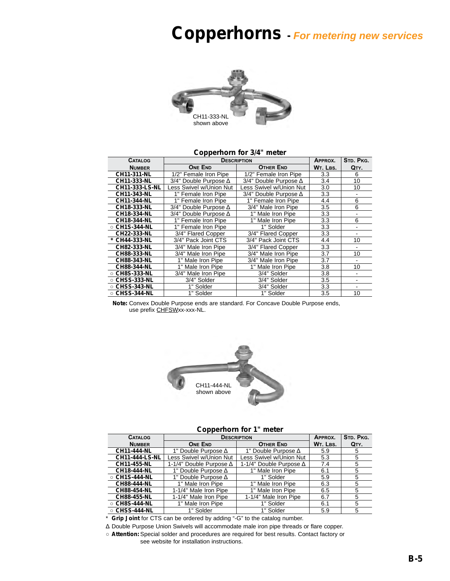## **Copperhorns -** *For metering new services*



### **Copperhorn for 3/4" meter**

| <b>CATALOG</b>        | <b>DESCRIPTION</b>           |                              | APPROX.  | STD. PKG. |
|-----------------------|------------------------------|------------------------------|----------|-----------|
| <b>NUMBER</b>         | <b>ONE END</b>               | OTHER END                    | WT. LBS. | QTY.      |
| <b>CH11-311-NL</b>    | 1/2" Female Iron Pipe        | 1/2" Female Iron Pipe        | 3.3      | 6         |
| CH11-333-NL           | 3/4" Double Purpose $\Delta$ | 3/4" Double Purpose $\Delta$ | 3.4      | 10        |
| <b>CH11-333-LS-NL</b> | Less Swivel w/Union Nut      | Less Swivel w/Union Nut      | 3.0      | 10        |
| CH11-343-NL           | 1" Female Iron Pipe          | 3/4" Double Purpose $\Delta$ | 3.3      |           |
| CH11-344-NL           | 1" Female Iron Pipe          | 1" Female Iron Pipe          | 4.4      | 6         |
| CH18-333-NL           | 3/4" Double Purpose Δ        | 3/4" Male Iron Pipe          | 3.5      | 6         |
| <b>CH18-334-NL</b>    | 3/4" Double Purpose $\Delta$ | 1" Male Iron Pipe            | 3.3      |           |
| CH18-344-NL           | 1" Female Iron Pipe          | 1" Male Iron Pipe            | 3.3      | 6         |
| $\circ$ CH1S-344-NL   | 1" Female Iron Pipe          | 1" Solder                    | 3.3      |           |
| <b>CH22-333-NL</b>    | 3/4" Flared Copper           | 3/4" Flared Copper           | 3.3      |           |
| * CH44-333-NL         | 3/4" Pack Joint CTS          | 3/4" Pack Joint CTS          | 4.4      | 10        |
| CH82-333-NL           | 3/4" Male Iron Pipe          | 3/4" Flared Copper           | 3.3      | ٠         |
| CH88-333-NL           | 3/4" Male Iron Pipe          | 3/4" Male Iron Pipe          | 3.7      | 10        |
| CH88-343-NL           | 1" Male Iron Pipe            | 3/4" Male Iron Pipe          | 3.7      |           |
| <b>CH88-344-NL</b>    | 1" Male Iron Pipe            | 1" Male Iron Pipe            | 3.8      | 10        |
| ○ CH8S-333-NL         | 3/4" Male Iron Pipe          | 3/4" Solder                  | 3.8      |           |
| $\circ$ CHSS-333-NL   | 3/4" Solder                  | 3/4" Solder                  | 3.5      |           |
| ○ CHSS-343-NL         | 1" Solder                    | 3/4" Solder                  | 3.3      |           |
| ○ CHSS-344-NL         | 1" Solder                    | 1" Solder                    | 3.5      | 10        |

**Note:** Convex Double Purpose ends are standard. For Concave Double Purpose ends, use prefix CHFSWxx-xxx-NL.



### **Copperhorn for 1" meter**

| <b>CATALOG</b>        | <b>DESCRIPTION</b>         | APPROX.                        | STD. PKG. |      |
|-----------------------|----------------------------|--------------------------------|-----------|------|
| <b>NUMBER</b>         | <b>ONE END</b>             | <b>OTHER END</b>               | WT. LBS.  | QTY. |
| <b>CH11-444-NL</b>    | 1" Double Purpose Δ        | 1" Double Purpose A            | 5.9       | 5    |
| <b>CH11-444-LS-NL</b> | Less Swivel w/Union Nut    | Less Swivel w/Union Nut        | 5.3       | 5    |
| CH11-455-NL           | 1-1/4" Double Purpose Δ    | 1-1/4" Double Purpose $\Delta$ | 7.4       | 5    |
| CH18-444-NL           | 1" Double Purpose $\Delta$ | 1" Male Iron Pipe              | 6.1       | 5    |
| ○ CH1S-444-NL         | 1" Double Purpose A        | 1" Solder                      | 5.9       | 5    |
| CH88-444-NL           | 1" Male Iron Pipe          | 1" Male Iron Pipe              | 6.3       | 5    |
| CH88-454-NL           | 1-1/4" Male Iron Pipe      | 1" Male Iron Pipe              | 6.5       | 5    |
| CH88-455-NL           | 1-1/4" Male Iron Pipe      | 1-1/4" Male Iron Pipe          | 6.7       | 5    |
| ○ CH8S-444-NL         | 1" Male Iron Pipe          | 1" Solder                      | 6.1       | 5    |
| ○ CHSS-444-NL         | 1" Solder                  | 1" Solder                      | 5.9       | 5    |

\* **Grip Joint** for CTS can be ordered by adding "-G" to the catalog number.

Δ Double Purpose Union Swivels will accommodate male iron pipe threads or flare copper.

○ **Attention:**Special solder and procedures are required for best results. Contact factory or see website for installation instructions.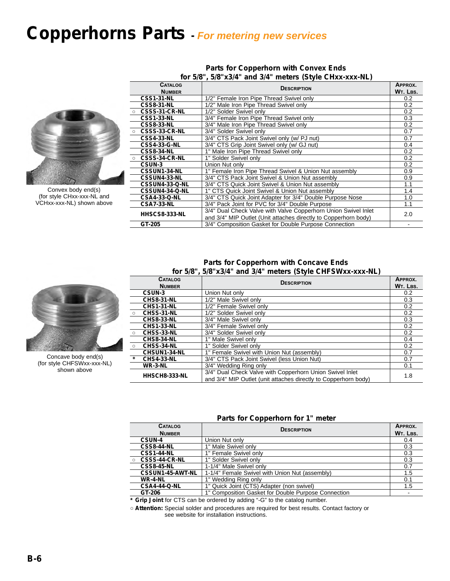## **Copperhorns Parts -** *For metering new services*



Convex body end(s) (for style CHxx-xxx-NL and VCHxx-xxx-NL) shown above

| <b>CATALOG</b>           |                                                                 | APPROX.  |
|--------------------------|-----------------------------------------------------------------|----------|
| <b>NUMBER</b>            | <b>DESCRIPTION</b>                                              | WT. LBS. |
| <b>CSS1-31-NL</b>        | 1/2" Female Iron Pipe Thread Swivel only                        | 0.2      |
| <b>CSS8-31-NL</b>        | 1/2" Male Iron Pipe Thread Swivel only                          | 0.2      |
| CSSS-31-CR-NL<br>$\circ$ | 1/2" Solder Swivel only                                         | 0.2      |
| <b>CSS1-33-NL</b>        | 3/4" Female Iron Pipe Thread Swivel only                        | 0.3      |
| <b>CSS8-33-NL</b>        | 3/4" Male Iron Pipe Thread Swivel only                          | 0.2      |
| CSSS-33-CR-NL<br>$\circ$ | 3/4" Solder Swivel only                                         | 0.7      |
| <b>CSS4-33-NL</b>        | 3/4" CTS Pack Joint Swivel only (w/ PJ nut)                     | 0.7      |
| <b>CSS4-33-G-NL</b>      | 3/4" CTS Grip Joint Swivel only (w/ GJ nut)                     | 0.4      |
| <b>CSS8-34-NL</b>        | 1" Male Iron Pipe Thread Swivel only                            | 0.2      |
| CSSS-34-CR-NL<br>$\circ$ | 1" Solder Swivel only                                           | 0.2      |
| CSUN-3                   | Union Nut only                                                  | 0.2      |
| CSSUN1-34-NL             | 1" Female Iron Pipe Thread Swivel & Union Nut assembly          | 0.9      |
| <b>CSSUN4-33-NL</b>      | 3/4" CTS Pack Joint Swivel & Union Nut assembly                 | 0.9      |
| CSSUN4-33-Q-NL           | 3/4" CTS Quick Joint Swivel & Union Nut assembly                | 1.1      |
| CSSUN4-34-Q-NL           | 1" CTS Quick Joint Swivel & Union Nut assembly                  | 1.4      |
| <b>CSA4-33-Q-NL</b>      | 3/4" CTS Quick Joint Adapter for 3/4" Double Purpose Nose       | 1.0      |
| <b>CSA7-33-NL</b>        | 3/4" Pack Joint for PVC for 3/4" Double Purpose                 | 1.1      |
| HHSCS8-333-NL            | 3/4" Dual Check Valve with Valve Copperhorn Union Swivel Inlet  | 2.0      |
|                          | and 3/4" MIP Outlet (Unit attaches directly to Copperhorn body) |          |
| GT-205                   | 3/4" Composition Gasket for Double Purpose Connection           |          |

### **Parts for Copperhorn with Convex Ends for 5/8", 5/8"x3/4" and 3/4" meters (Style CHxx-xxx-NL)**



Concave body end(s) (for style CHFSWxx-xxx-NL) shown above

### **Parts for Copperhorn with Concave Ends for 5/8", 5/8"x3/4" and 3/4" meters (Style CHFSWxx-xxx-NL)**

| <b>CATALOG</b><br><b>NUMBER</b> |                     | <b>DESCRIPTION</b>                                                                                                          |     |
|---------------------------------|---------------------|-----------------------------------------------------------------------------------------------------------------------------|-----|
|                                 |                     |                                                                                                                             |     |
|                                 | <b>CHS8-31-NL</b>   | 1/2" Male Swivel only                                                                                                       | 0.3 |
|                                 | <b>CHS1-31-NL</b>   | 1/2" Female Swivel only                                                                                                     | 0.2 |
| $\circ$                         | CHSS-31-NL          | 1/2" Solder Swivel only                                                                                                     | 0.2 |
|                                 | <b>CHS8-33-NL</b>   | 3/4" Male Swivel only                                                                                                       | 0.3 |
|                                 | <b>CHS1-33-NL</b>   | 3/4" Female Swivel only                                                                                                     | 0.2 |
| $\circ$                         | CHSS-33-NL          | 3/4" Solder Swivel only                                                                                                     | 0.2 |
|                                 | <b>CHS8-34-NL</b>   | 1" Male Swivel only                                                                                                         | 0.4 |
| $\circ$                         | <b>CHSS-34-NL</b>   | 1" Solder Swivel only                                                                                                       | 0.2 |
|                                 | <b>CHSUN1-34-NL</b> | 1" Female Swivel with Union Nut (assembly)                                                                                  | 0.7 |
| $\star$                         | <b>CHS4-33-NL</b>   | 3/4" CTS Pack Joint Swivel (less Union Nut)                                                                                 | 0.7 |
|                                 | $WR-3-NL$           | 3/4" Wedding Ring only                                                                                                      | 0.1 |
|                                 | HHSCH8-333-NL       | 3/4" Dual Check Valve with Copperhorn Union Swivel Inlet<br>and 3/4" MIP Outlet (unit attaches directly to Copperhorn body) | 1.8 |

### **Parts for Copperhorn for 1" meter**

| <b>CATALOG</b>          | <b>DESCRIPTION</b>                                  | APPROX.  |
|-------------------------|-----------------------------------------------------|----------|
| <b>NUMBER</b>           |                                                     | WT. LBS. |
| <b>CSUN-4</b>           | Union Nut only                                      | 0.4      |
| <b>CSS8-44-NL</b>       | 1" Male Swivel only                                 | 0.3      |
| <b>CSS1-44-NL</b>       | 1" Female Swivel only                               | 0.3      |
| <b>CSSS-44-CR-NL</b>    | 1" Solder Swivel only                               | 0.3      |
| <b>CSS8-45-NL</b>       | 1-1/4" Male Swivel only                             | 0.7      |
| <b>CSSUN1-45-AWT-NL</b> | 1-1/4" Female Swivel with Union Nut (assembly)      | 1.5      |
| WR-4-NL                 | 1" Wedding Ring only                                | 0.1      |
| <b>CSA4-44-Q-NL</b>     | 1" Quick Joint (CTS) Adapter (non swivel)           | 1.5      |
| GT-206                  | 1" Composition Gasket for Double Purpose Connection |          |

*\** **Grip Joint** for CTS can be ordered by adding "-G" to the catalog number.

○ **Attention:** Special solder and procedures are required for best results. Contact factory or see website for installation instructions.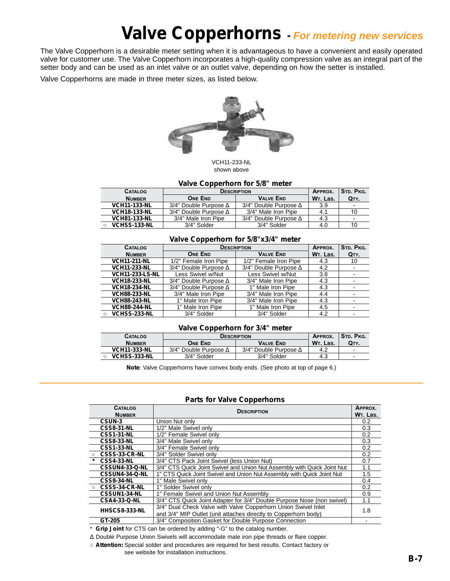## **Valve Copperhorns -** *For metering new services*

The Valve Copperhorn is a desirable meter setting when it is advantageous to have a convenient and easily operated valve for customer use. The Valve Copperhorn incorporates a high-quality compression valve as an integral part of the setter body and can be used as an inlet valve or an outlet valve, depending on how the setter is installed.

Valve Copperhorns are made in three meter sizes, as listed below.



VCH11-233-NL shown above

### **Valve Copperhorn for 5/8" meter**

| <b>CATALOG</b>      | <b>DESCRIPTION</b>           | APPROX.                      | STD. PKG. |                          |
|---------------------|------------------------------|------------------------------|-----------|--------------------------|
| <b>NUMBER</b>       | <b>ONE END</b>               | <b>VALVE END</b>             | WT. LBS.  | QTY.                     |
| <b>VCH11-133-NL</b> | 3/4" Double Purpose $\Delta$ | 3/4" Double Purpose $\Delta$ | 3.9       | $\overline{\phantom{0}}$ |
| <b>VCH18-133-NL</b> | 3/4" Double Purpose $\Delta$ | 3/4" Male Iron Pipe          | 4.1       | 10                       |
| <b>VCH81-133-NL</b> | 3/4" Male Iron Pipe          | 3/4" Double Purpose $\Delta$ | 4.3       | $\overline{\phantom{0}}$ |
| <b>VCHSS-133-NL</b> | 3/4" Solder                  | 3/4" Solder                  | 4.0       | 10                       |

### **Valve Copperhorn for 5/8"x3/4" meter**

| <b>CATALOG</b>           |                              | <b>DESCRIPTION</b>           |          |      |
|--------------------------|------------------------------|------------------------------|----------|------|
| <b>NUMBER</b>            | <b>ONE END</b>               | <b>VALVE END</b>             | WT. LBS. | QTY. |
| <b>VCH11-211-NL</b>      | 1/2" Female Iron Pipe        | 1/2" Female Iron Pipe        | 4.3      | 10   |
| <b>VCH11-233-NL</b>      | 3/4" Double Purpose $\Delta$ | 3/4" Double Purpose $\Delta$ | 4.2      |      |
| <b>VCH11-233-LS-NL</b>   | Less Swivel w/Nut            | Less Swivel w/Nut            | 3.8      |      |
| <b>VCH18-233-NL</b>      | 3/4" Double Purpose $\Delta$ | 3/4" Male Iron Pipe          | 4.3      |      |
| <b>VCH18-234-NL</b>      | 3/4" Double Purpose $\Delta$ | 1" Male Iron Pipe            | 4.3      |      |
| <b>VCH88-233-NL</b>      | 3/4" Male Iron Pipe          | 3/4" Male Iron Pipe          | 4.4      |      |
| <b>VCH88-243-NL</b>      | 1" Male Iron Pipe            | 3/4" Male Iron Pipe          | 4.3      |      |
| <b>VCH88-244-NL</b>      | 1" Male Iron Pipe            | 1" Male Iron Pipe            | 4.5      |      |
| VCHSS-233-NL<br>$\Omega$ | 3/4" Solder                  | 3/4" Solder                  | 4.2      |      |

### **Valve Copperhorn for 3/4" meter**

| <b>CATALOG</b>      | <b>DESCRIPTION</b>           | APPROX.                      | STD. PKG. |      |
|---------------------|------------------------------|------------------------------|-----------|------|
| <b>NUMBER</b>       | One End                      | <b>VALVE END</b>             | WT. LBS.  | QTY. |
| <b>VCH11-333-NL</b> | 3/4" Double Purpose $\Delta$ | 3/4" Double Purpose $\Delta$ | 4.2       | -    |
| <b>VCHSS-333-NL</b> | 3/4" Solder                  | 3/4" Solder                  | 4.3       | -    |

**Note**: Valve Copperhorns have convex body ends. (See photo at top of page 6.)

### **Parts for Valve Copperhorns**

| <b>CATALOG</b>               | <b>DESCRIPTION</b>                                                      |          |  |
|------------------------------|-------------------------------------------------------------------------|----------|--|
| <b>NUMBER</b>                |                                                                         | WT. LBS. |  |
| CSUN-3                       | Union Nut only                                                          | 0.2      |  |
| <b>CSS8-31-NL</b>            | 1/2" Male Swivel only                                                   | 0.3      |  |
| <b>CSS1-31-NL</b>            | 1/2" Female Swivel only                                                 | 0.2      |  |
| <b>CSS8-33-NL</b>            | 3/4" Male Swivel only                                                   | 0.3      |  |
| <b>CSS1-33-NL</b>            | 3/4" Female Swivel only                                                 | 0.2      |  |
| CSSS-33-CR-NL<br>$\Omega$    | 3/4" Solder Swivel only                                                 | 0.2      |  |
| $\star$<br><b>CSS4-33-NL</b> | 3/4" CTS Pack Joint Swivel (less Union Nut)                             | 0.7      |  |
| CSSUN4-33-Q-NL               | 3/4" CTS Quick Joint Swivel and Union Nut Assembly with Quick Joint Nut | 1.1      |  |
| CSSUN4-34-Q-NL               | 1" CTS Quick Joint Swivel and Union Nut Assembly with Quick Joint Nut   | 1.5      |  |
| <b>CSS8-34-NL</b>            | 1" Male Swivel only                                                     | 0.4      |  |
| CSSS-34-CR-NL<br>$\Omega$    | 1" Solder Swivel only                                                   | 0.2      |  |
| CSSUN1-34-NL                 | 1" Female Swivel and Union Nut Assembly                                 | 0.9      |  |
| <b>CSA4-33-Q-NL</b>          | 3/4" CTS Quick Joint Adapter for 3/4" Double Purpose Nose (non swivel)  | 1.1      |  |
|                              | 3/4" Dual Check Valve with Valve Copperhorn Union Swivel Inlet          |          |  |
| HHSCS8-333-NL                | and 3/4" MIP Outlet (unit attaches directly to Copperhorn body)         | 1.8      |  |
| GT-205                       | 3/4" Composition Gasket for Double Purpose Connection                   |          |  |

\* **Grip Joint** for CTS can be ordered by adding "-G" to the catalog number.

Δ Double Purpose Union Swivels will accommodate male iron pipe threads or flare copper.

○ **Attention:**Special solder and procedures are required for best results. Contact factory or

see website for installation instructions.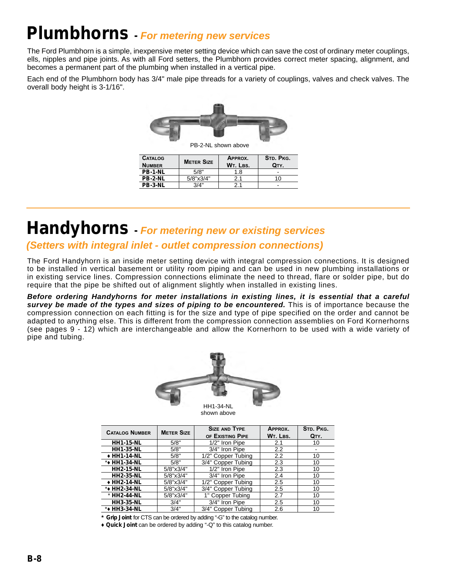## **Plumbhorns -** *For metering new services*

The Ford Plumbhorn is a simple, inexpensive meter setting device which can save the cost of ordinary meter couplings, ells, nipples and pipe joints. As with all Ford setters, the Plumbhorn provides correct meter spacing, alignment, and becomes a permanent part of the plumbing when installed in a vertical pipe.

Each end of the Plumbhorn body has 3/4" male pipe threads for a variety of couplings, valves and check valves. The overall body height is 3-1/16".



| <b>CATALOG</b><br><b>NUMBER</b> | <b>METER SIZE</b> | APPROX.<br>WT. LBS. | STD. PKG.<br>QTY. |
|---------------------------------|-------------------|---------------------|-------------------|
| <b>PB-1-NL</b>                  | 5/8"              | 1.8                 | -                 |
| <b>PB-2-NL</b>                  | 5/8"x3/4"         | 2.1                 | 10                |
| PB-3-NL                         | 3/4"              | 2.1                 | -                 |

## **Handyhorns -** *For metering new or existing services*

*(Setters with integral inlet - outlet compression connections)*

The Ford Handyhorn is an inside meter setting device with integral compression connections. It is designed to be installed in vertical basement or utility room piping and can be used in new plumbing installations or in existing service lines. Compression connections eliminate the need to thread, flare or solder pipe, but do require that the pipe be shifted out of alignment slightly when installed in existing lines.

*Before ordering Handyhorns for meter installations in existing lines, it is essential that a careful*  **survey be made of the types and sizes of piping to be encountered.** This is of importance because the compression connection on each fitting is for the size and type of pipe specified on the order and cannot be adapted to anything else. This is different from the compression connection assemblies on Ford Kornerhorns (see pages 9 - 12) which are interchangeable and allow the Kornerhorn to be used with a wide variety of pipe and tubing.



| <b>CATALOG NUMBER</b> | <b>METER SIZE</b> | <b>SIZE AND TYPE.</b> | APPROX.  | STD. PKG. |
|-----------------------|-------------------|-----------------------|----------|-----------|
|                       |                   | OF EXISTING PIPE      | WT. LBS. | QTY.      |
| <b>HH1-15-NL</b>      | 5/8"              | 1/2" Iron Pipe        | 2.1      | 10        |
| <b>HH1-35-NL</b>      | 5/8"              | 3/4" Iron Pipe        | 2.2      |           |
| + HH1-14-NL           | 5/8"              | 1/2" Copper Tubing    | 2.2      | 10        |
| ** HH1-34-NL          | 5/8"              | 3/4" Copper Tubing    | 2.3      | 10        |
| <b>HH2-15-NL</b>      | 5/8"x3/4"         | 1/2" Iron Pipe        | 2.3      | 10        |
| <b>HH2-35-NL</b>      | 5/8"x3/4"         | 3/4" Iron Pipe        | 2.4      | 10        |
| ◆ HH2-14-NL           | 5/8"x3/4"         | 1/2" Copper Tubing    | 2.5      | 10        |
| ** HH2-34-NL          | 5/8"x3/4"         | 3/4" Copper Tubing    | 2.5      | 10        |
| * HH2-44-NL           | 5/8"x3/4"         | 1" Copper Tubing      | 2.7      | 10        |
| <b>HH3-35-NL</b>      | 3/4"              | 3/4" Iron Pipe        | 2.5      | 10        |
| ** HH3-34-NL          | 3/4"              | 3/4" Copper Tubing    | 2.6      | 10        |

*\** **Grip Joint** for CTS can be ordered by adding "-G" to the catalog number.

♦ **Quick Joint** can be ordered by adding "-Q" to this catalog number.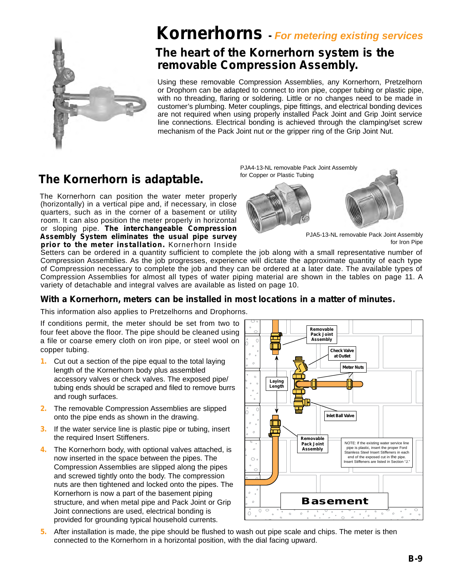

## **Kornerhorns -** *For metering existing services*

### **The heart of the Kornerhorn system is the removable Compression Assembly.**

Using these removable Compression Assemblies, any Kornerhorn, Pretzelhorn or Drophorn can be adapted to connect to iron pipe, copper tubing or plastic pipe, with no threading, flaring or soldering. Little or no changes need to be made in customer's plumbing. Meter couplings, pipe fittings, and electrical bonding devices are not required when using properly installed Pack Joint and Grip Joint service line connections. Electrical bonding is achieved through the clamping/set screw mechanism of the Pack Joint nut or the gripper ring of the Grip Joint Nut.

## **The Kornerhorn is adaptable.**

The Kornerhorn can position the water meter properly (horizontally) in a vertical pipe and, if necessary, in close quarters, such as in the corner of a basement or utility room. It can also position the meter properly in horizontal or sloping pipe. **The interchangeable Compression Assembly System eliminates the usual pipe survey prior to the meter installation.** Kornerhorn Inside

PJA4-13-NL removable Pack Joint Assembly for Copper or Plastic Tubing





PJA5-13-NL removable Pack Joint Assembly for Iron Pipe

Setters can be ordered in a quantity sufficient to complete the job along with a small representative number of Compression Assemblies. As the job progresses, experience will dictate the approximate quantity of each type of Compression necessary to complete the job and they can be ordered at a later date. The available types of Compression Assemblies for almost all types of water piping material are shown in the tables on page 11. A variety of detachable and integral valves are available as listed on page 10.

### **With a Kornerhorn, meters can be installed in most locations in a matter of minutes.**

This information also applies to Pretzelhorns and Drophorns.

If conditions permit, the meter should be set from two to four feet above the floor. The pipe should be cleaned using a file or coarse emery cloth on iron pipe, or steel wool on copper tubing.

- **1.** Cut out a section of the pipe equal to the total laying length of the Kornerhorn body plus assembled accessory valves or check valves. The exposed pipe/ tubing ends should be scraped and filed to remove burrs and rough surfaces.
- **2.** The removable Compression Assemblies are slipped onto the pipe ends as shown in the drawing.
- **3.** If the water service line is plastic pipe or tubing, insert the required Insert Stiffeners.
- **4.** The Kornerhorn body, with optional valves attached, is now inserted in the space between the pipes. The Compression Assemblies are slipped along the pipes and screwed tightly onto the body. The compression nuts are then tightened and locked onto the pipes. The Kornerhorn is now a part of the basement piping structure, and when metal pipe and Pack Joint or Grip Joint connections are used, electrical bonding is provided for grounding typical household currents.



**5.** After installation is made, the pipe should be flushed to wash out pipe scale and chips. The meter is then connected to the Kornerhorn in a horizontal position, with the dial facing upward.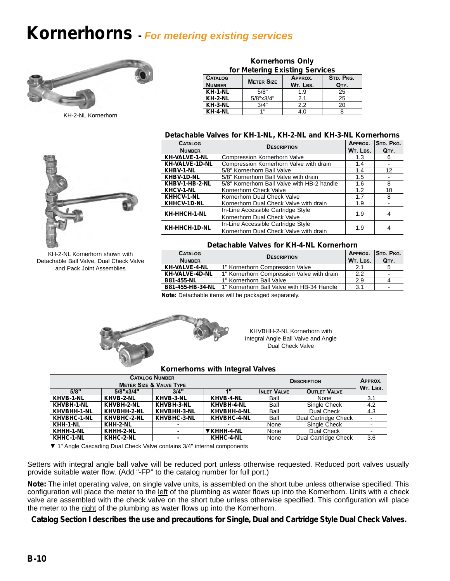## **Kornerhorns -** *For metering existing services*



KH-2-NL Kornerhorn



KH-2-NL Kornerhorn shown with Detachable Ball Valve, Dual Check Valve and Pack Joint Assemblies

| for Metering Existing Services |                   |          |           |  |  |
|--------------------------------|-------------------|----------|-----------|--|--|
| <b>CATALOG</b>                 | <b>METER SIZE</b> | APPROX.  | STD. PKG. |  |  |
| <b>NUMBER</b>                  |                   | WT. LBS. | QTY.      |  |  |
| KH-1-NL                        | 5/8"              | 1.9      | 25        |  |  |
| KH-2-NL                        | 5/8"x3/4"         | 2.1      | 25        |  |  |
| KH-3-NL                        | 3/4"              | 2.2      | 20        |  |  |
| KH-4-NL                        | 4 !!              | 4.0      |           |  |  |

**Kornerhorns Only** 

### **Detachable Valves for KH-1-NL, KH-2-NL and KH-3-NL Kornerhorns**

| <b>CATALOG</b> | <b>DESCRIPTION</b>                          | APPROX.  | STD. PKG. |
|----------------|---------------------------------------------|----------|-----------|
| <b>NUMBER</b>  |                                             | WT. LBS. | QTY.      |
| KH-VALVE-1-NL  | <b>Compression Kornerhorn Valve</b>         | 1.3      | 6         |
| KH-VALVE-1D-NL | Compression Kornerhorn Valve with drain     | 1.4      |           |
| KHBV-1-NL      | 5/8" Kornerhorn Ball Valve                  | 1.4      | 12        |
| KHBV-1D-NL     | 5/8" Kornerhorn Ball Valve with drain       | 1.5      |           |
| KHBV-1-HB-2-NL | 5/8" Kornerhorn Ball Valve with HB-2 handle | 1.6      | 8         |
| KHCV-1-NL      | Kornerhorn Check Valve                      | 1.2      | 10        |
| KHHCV-1-NL     | Kornerhorn Dual Check Valve                 | 1.7      | 8         |
| KHHCV-1D-NL    | Kornerhorn Dual Check Valve with drain      | 1.9      |           |
| KH-HHCH-1-NL   | In-Line Accessible Cartridge Style          | 1.9      | 4         |
|                | Kornerhorn Dual Check Valve                 |          |           |
|                | In-Line Accessible Cartridge Style          |          |           |
| KH-HHCH-1D-NL  | Kornerhorn Dual Check Valve with drain      | 1.9      | 4         |

### **Detachable Valves for KH-4-NL Kornerhorn**

| <b>CATALOG</b>    | <b>DESCRIPTION</b>                         |          | APPROX. STD. PKG. |
|-------------------|--------------------------------------------|----------|-------------------|
| <b>NUMBER</b>     |                                            | WT. LBS. | QTY.              |
| KH-VALVE-4-NL     | 1" Kornerhorn Compression Valve            | 2.1      | 5                 |
| KH-VALVE-4D-NL    | 1" Kornerhorn Compression Valve with drain | 2.2      |                   |
| <b>B81-455-NL</b> | 1" Kornerhorn Ball Valve                   | 2.9      |                   |
| B81-455-HB-34-NL  | 1" Kornerhorn Ball Valve with HB-34 Handle | 3.1      |                   |
| .                 |                                            |          |                   |

**Note:** Detachable items will be packaged separately.



KHVBHH-2-NL Kornerhorn with Integral Angle Ball Valve and Angle Dual Check Valve

#### **Kornerhorns with Integral Valves**

|                                    | <b>CATALOG NUMBER</b> |             |                   | <b>DESCRIPTION</b> |                      | APPROX. |
|------------------------------------|-----------------------|-------------|-------------------|--------------------|----------------------|---------|
| <b>METER SIZE &amp; VALVE TYPE</b> |                       |             |                   |                    | WT. LBS.             |         |
| 5/8"                               | 5/8"x3/4"             | 3/4"        | 4.                | <b>INLET VALVE</b> | <b>OUTLET VALVE</b>  |         |
| KHVB-1-NL                          | KHVB-2-NL             | KHVB-3-NL   | KHVB-4-NL         | Ball               | None                 | 3.1     |
| KHVBH-1-NL                         | KHVBH-2-NL            | KHVBH-3-NL  | KHVBH-4-NL        | Ball               | Single Check         | 4.2     |
| KHVBHH-1-NL                        | KHVBHH-2-NL           | KHVBHH-3-NL | KHVBHH-4-NL       | Ball               | Dual Check           | 4.3     |
| KHVBHC-1-NL                        | KHVBHC-2-NL           | KHVBHC-3-NL | KHVBHC-4-NL       | Ball               | Dual Cartridge Check |         |
| KHH-1-NL                           | KHH-2-NL              |             |                   | None               | Single Check         | -       |
| KHHH-1-NL                          | KHHH-2-NL             |             | <b>VKHHH-4-NL</b> | None               | Dual Check           |         |
| KHHC-1-NL                          | KHHC-2-NL             |             | KHHC-4-NL         | None               | Dual Cartridge Check | 3.6     |

**▼** 1" Angle Cascading Dual Check Valve contains 3/4" internal components

Setters with integral angle ball valve will be reduced port unless otherwise requested. Reduced port valves usually provide suitable water flow. (Add "-FP" to the catalog number for full port.)

**Note:** The inlet operating valve, on single valve units, is assembled on the short tube unless otherwise specified. This configuration will place the meter to the left of the plumbing as water flows up into the Kornerhorn. Units with a check valve are assembled with the check valve on the short tube unless otherwise specified. This configuration will place the meter to the right of the plumbing as water flows up into the Kornerhorn.

### **Catalog Section I describes the use and precautions for Single, Dual and Cartridge Style Dual Check Valves.**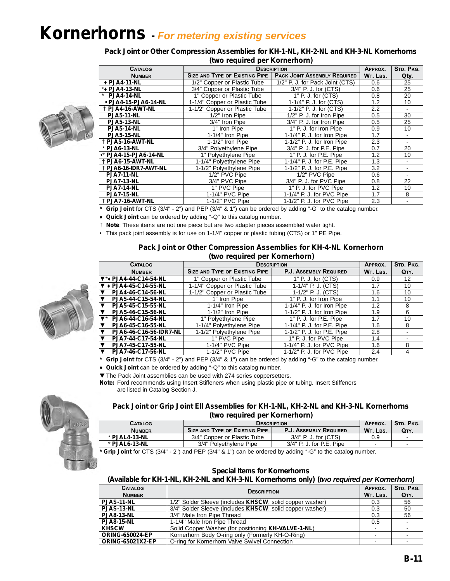## **Kornerhorns -** *For metering existing services*

Pack Joint or Other Compression Assemblies for KH-1-NL, KH-2-NL and KH-3-NL Kornerhorns **(two required per Kornerhorn)**

| <b>CATALOG</b>        |                                | <b>DESCRIPTION</b>                  | APPROX.  | STD. PKG. |
|-----------------------|--------------------------------|-------------------------------------|----------|-----------|
| <b>NUMBER</b>         | SIZE AND TYPE OF EXISTING PIPE | <b>PACK JOINT ASSEMBLY REQUIRED</b> | WT. LBS. | Qty.      |
| + PJA4-11-NL          | 1/2" Copper or Plastic Tube    | 1/2" P. J. for Pack Joint (CTS)     | 0.6      | 25        |
| ** PJA4-13-NL         | 3/4" Copper or Plastic Tube    | 3/4" P. J. for (CTS)                | 0.6      | 25        |
| * PJA4-14-NL          | 1" Copper or Plastic Tube      | $1"$ P. J. for $(CTS)$              | 0.8      | 20        |
| • PJA4-15-PJA6-14-NL  | 1-1/4" Copper or Plastic Tube  | 1-1/4" P. J. for (CTS)              | 1.2      | 10        |
| + PJA4-16-AWT-NL      | 1-1/2" Copper or Plastic Tube  | 1-1/2" P. J. for (CTS)              | 2.2      | ۰         |
| <b>PJA5-11-NL</b>     | 1/2" Iron Pipe                 | 1/2" P. J. for Iron Pipe            | 0.5      | 30        |
| <b>PJA5-13-NL</b>     | 3/4" Iron Pipe                 | 3/4" P. J. for Iron Pipe            | 0.5      | 25        |
| <b>PJA5-14-NL</b>     | 1" Iron Pipe                   | 1" P. J. for Iron Pipe              | 0.9      | 10        |
| <b>PJA5-15-NL</b>     | 1-1/4" Iron Pipe               | 1-1/4" P. J. for Iron Pipe          | 1.7      |           |
| † PJA5-16-AWT-NL      | 1-1/2" Iron Pipe               | 1-1/2" P. J. for Iron Pipe          | 2.3      |           |
| * PJA6-13-NL          | 3/4" Polyethylene Pipe         | 3/4" P. J. for P.E. Pipe            | 0.7      | 20        |
| •* PJA4-15-PJA6-14-NL | 1" Polyethylene Pipe           | 1" P. J. for P.E. Pipe              | 1.2      | 10        |
| + PJA6-15-AWT-NL      | 1-1/4" Polyethylene Pipe       | 1-1/4" P. J. for P.E. Pipe          | 1.3      | ۰         |
| + PJA6-16-IDR7-AWT-NL | 1-1/2" Polyethylene Pipe       | 1-1/2" P. J. for P.E. Pipe          | 3.2      |           |
| <b>PJA7-11-NL</b>     | 1/2" PVC Pipe                  | 1/2" PVC Pipe                       | 0.6      |           |
| <b>PJA7-13-NL</b>     | 3/4" PVC Pipe                  | 3/4" P. J. for PVC Pipe             | 0.8      | 22        |
| <b>PJA7-14-NL</b>     | 1" PVC Pipe                    | 1" P. J. for PVC Pipe               | 1.2      | 10        |
| <b>PJA7-15-NL</b>     | 1-1/4" PVC Pipe                | 1-1/4" P. J. for PVC Pipe           | 1.7      | 8         |
| † PJA7-16-AWT-NL      | 1-1/2" PVC Pipe                | 1-1/2" P. J. for PVC Pipe           | 2.3      |           |

*\** **Grip Joint** for CTS (3/4" - 2") and PEP (3/4" & 1") can be ordered by adding "-G" to the catalog number.

♦ **Quick Joint** can be ordered by adding "-Q" to this catalog number.

† **Note**: These items are not one piece but are two adapter pieces assembled water tight.

• This pack joint assembly is for use on 1-1/4" copper or plastic tubing (CTS) or 1" PE Pipe.

### Pack Joint or Other Compression Assemblies for KH-4-NL Kornerhorn **(two required per Kornerhorn)**

| <b>CATALOG</b>                       | <b>DESCRIPTION</b>             |                            | APPROX.  | STD. PKG. |
|--------------------------------------|--------------------------------|----------------------------|----------|-----------|
| <b>NUMBER</b>                        | SIZE AND TYPE OF EXISTING PIPE | P.J. ASSEMBLY REQUIRED     | WT. LBS. | QTY.      |
| ▼*+ PJA4-44-C14-54-NL                | 1" Copper or Plastic Tube      | 1" P. J. for (CTS)         | 0.9      | 12        |
| $\Psi \rightarrow$ PJA4-45-C14-55-NL | 1-1/4" Copper or Plastic Tube  | 1-1/4" P. J. (CTS)         | 1.7      | 10        |
| PJA4-46-C14-56-NL                    | 1-1/2" Copper or Plastic Tube  | 1-1/2" P. J. (CTS)         | 1.6      | 10        |
| PJA5-44-C15-54-NL                    | 1" Iron Pipe                   | 1" P. J. for Iron Pipe     | 1.1      | 10        |
| PJA5-45-C15-55-NL                    | 1-1/4" Iron Pipe               | 1-1/4" P. J. for Iron Pipe | 1.2      | 8         |
| PJA5-46-C15-56-NL                    | 1-1/2" Iron Pipe               | 1-1/2" P. J. for Iron Pipe | 1.9      | 6         |
| $V^*$ PJA6-44-C16-54-NL              | 1" Polyethylene Pipe           | 1" P. J. for P.E. Pipe     | 1.7      | 10        |
| PJA6-45-C16-55-NL                    | 1-1/4" Polvethylene Pipe       | 1-1/4" P. J. for P.E. Pipe | 1.6      | 8         |
| PJA6-46-C16-56-IDR7-NL               | 1-1/2" Polvethylene Pipe       | 1-1/2" P. J. for P.E. Pipe | 2.8      |           |
| <b>PJA7-44-C17-54-NL</b>             | 1" PVC Pipe                    | 1" P. J. for PVC Pipe      | 1.4      |           |
| PJA7-45-C17-55-NL                    | 1-1/4" PVC Pipe                | 1-1/4" P. J. for PVC Pipe  | 1.6      | 8         |
| PJA7-46-C17-56-NL                    | 1-1/2" PVC Pipe                | 1-1/2" P. J. for PVC Pipe  | 2.4      | 4         |

*\** **Grip Joint** for CTS (3/4" - 2") and PEP (3/4" & 1") can be ordered by adding "-G" to the catalog number.

♦ **Quick Joint** can be ordered by adding "-Q" to this catalog number.

The Pack Joint assemblies can be used with 274 series coppersetters.

**Note:** Ford recommends using Insert Stiffeners when using plastic pipe or tubing. Insert Stiffeners are listed in Catalog Section J.



### Pack Joint or Grip Joint Ell Assemblies for KH-1-NL, KH-2-NL and KH-3-NL Kornerhorns **(two required per Kornerhorn)**

| <b>CATALOG</b>  | <b>DESCRIPTION</b>             |                               |          | STD. PKG. |
|-----------------|--------------------------------|-------------------------------|----------|-----------|
| <b>NUMBER</b>   | SIZE AND TYPE OF EXISTING PIPE | <b>P.J. ASSEMBLY REQUIRED</b> | WT. LBS. | QTY.      |
| $*$ PJAL4-13-NL | 3/4" Copper or Plastic Tube    | 3/4" P. J. for (CTS)          | 0.9      | -         |
| $*$ PJAL6-13-NL | 3/4" Polyethylene Pipe         | $3/4$ " P. J. for P.E. Pipe   | $\sim$   | -         |

*\** **Grip Joint** for CTS (3/4" - 2") and PEP (3/4" & 1") can be ordered by adding "-G" to the catalog number.

### **Special Items for Kornerhorns**

### (Available for KH-1-NL, KH-2-NL and KH-3-NL Kornerhorns only) (*two required per Kornerhorn*)

| <b>CATALOG</b>          | <b>DESCRIPTION</b>                                       | APPROX. | STD. PKG. |
|-------------------------|----------------------------------------------------------|---------|-----------|
| <b>NUMBER</b>           |                                                          |         | QTY.      |
| <b>PJAS-11-NL</b>       | 1/2" Solder Sleeve (includes KHSCW, solid copper washer) | 0.3     | 56        |
| <b>PJAS-13-NL</b>       | 3/4" Solder Sleeve (includes KHSCW, solid copper washer) | 0.3     | 50        |
| <b>PJA8-13-NL</b>       | 3/4" Male Iron Pipe Thread                               | 0.3     | 56        |
| <b>PJA8-15-NL</b>       | 1-1/4" Male Iron Pipe Thread                             | 0.5     |           |
| <b>KHSCW</b>            | Solid Copper Washer (for positioning KH-VALVE-1-NL)      | ۰.      |           |
| <b>ORING-650024-EP</b>  | Kornerhorn Body O-ring only (Formerly KH-O-Ring)         | -       |           |
| <b>ORING-65021X2-EP</b> | O-ring for Kornerhorn Valve Swivel Connection            |         |           |



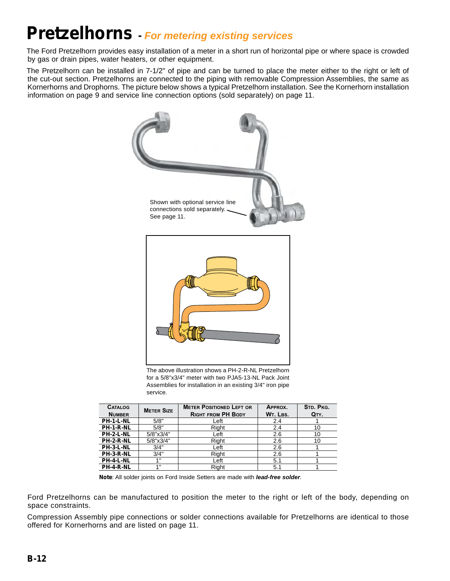## **Pretzelhorns -** *For metering existing services*

The Ford Pretzelhorn provides easy installation of a meter in a short run of horizontal pipe or where space is crowded by gas or drain pipes, water heaters, or other equipment.

The Pretzelhorn can be installed in 7-1/2" of pipe and can be turned to place the meter either to the right or left of the cut-out section. Pretzelhorns are connected to the piping with removable Compression Assemblies, the same as Kornerhorns and Drophorns. The picture below shows a typical Pretzelhorn installation. See the Kornerhorn installation information on page 9 and service line connection options (sold separately) on page 11.



The above illustration shows a PH-2-R-NL Pretzelhorn for a 5/8"x3/4" meter with two PJA5-13-NL Pack Joint Assemblies for installation in an existing 3/4" iron pipe service.

| <b>CATALOG</b> | <b>METER SIZE</b> | <b>METER POSITIONED LEFT OR</b> | APPROX.  | STD. PKG. |
|----------------|-------------------|---------------------------------|----------|-----------|
| <b>NUMBER</b>  |                   | <b>RIGHT FROM PH BODY</b>       | WT. LBS. | QTY.      |
| PH-1-L-NL      | 5/8"              | Left                            | 2.4      |           |
| PH-1-R-NL      | 5/8"              | Right                           | 2.4      | 10        |
| PH-2-L-NL      | 5/8"x3/4"         | Left                            | 2.6      | 10        |
| PH-2-R-NL      | 5/8"x3/4"         | Right                           | 2.6      | 10        |
| PH-3-L-NL      | 3/4"              | Left                            | 2.6      |           |
| PH-3-R-NL      | 3/4"              | Right                           | 2.6      |           |
| PH-4-L-NL      | $\ddotmark$       | Left                            | 5.1      |           |
| PH-4-R-NL      | $\ddotmark$       | Right                           | 5.1      |           |

**Note**: All solder joints on Ford Inside Setters are made with *lead-free solder.*

Ford Pretzelhorns can be manufactured to position the meter to the right or left of the body, depending on space constraints.

Compression Assembly pipe connections or solder connections available for Pretzelhorns are identical to those offered for Kornerhorns and are listed on page 11.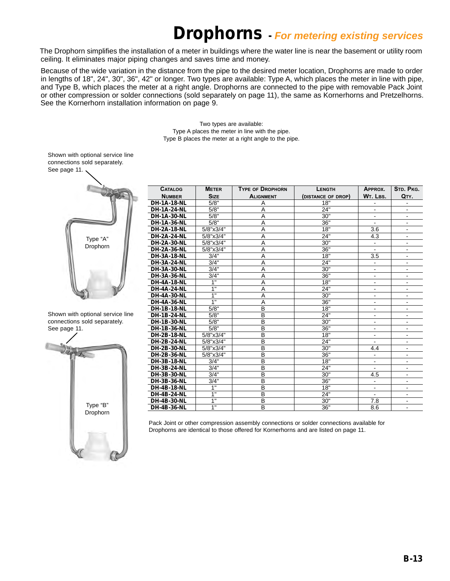## **Drophorns -** *For metering existing services*

The Drophorn simplifies the installation of a meter in buildings where the water line is near the basement or utility room ceiling. It eliminates major piping changes and saves time and money.

Because of the wide variation in the distance from the pipe to the desired meter location, Drophorns are made to order in lengths of 18", 24", 30", 36", 42" or longer. Two types are available: Type A, which places the meter in line with pipe, and Type B, which places the meter at a right angle. Drophorns are connected to the pipe with removable Pack Joint or other compression or solder connections (sold separately on page 11), the same as Kornerhorns and Pretzelhorns. See the Kornerhorn installation information on page 9.

> Two types are available: Type A places the meter in line with the pipe. Type B places the meter at a right angle to the pipe.

#### Shown with optional service line connections sold separately. See page 11.



Shown with optional service line connections sold separately. See page 11.



| CATALOG            | <b>METER</b>     | <b>TYPE OF DROPHORN</b> | LENGTH             | APPROX.                  | STD. PKG.                    |
|--------------------|------------------|-------------------------|--------------------|--------------------------|------------------------------|
| <b>NUMBER</b>      | <b>SIZE</b>      | <b>ALIGNMENT</b>        | (DISTANCE OF DROP) | WT. LBS.                 | QTY.                         |
| <b>DH-1A-18-NL</b> | $\sqrt{5/8}$     | Α                       | 18"                |                          |                              |
| <b>DH-1A-24-NL</b> | 5/8"             | A                       | 24"                |                          |                              |
| <b>DH-1A-30-NL</b> | 5/8"             | A                       | 30"                |                          |                              |
| <b>DH-1A-36-NL</b> | 5/8"             | A                       | 36"                |                          | ۰                            |
| <b>DH-2A-18-NL</b> | 5/8"x3/4"        | A                       | 18"                | 3.6                      | $\overline{\phantom{a}}$     |
| <b>DH-2A-24-NL</b> | 5/8"x3/4"        | A                       | 24"                | 4.3                      | ÷,                           |
| <b>DH-2A-30-NL</b> | 5/8"x3/4"        | A                       | 30"                |                          | $\overline{\phantom{a}}$     |
| <b>DH-2A-36-NL</b> | 5/8"x3/4"        | A                       | 36"                |                          | $\blacksquare$               |
| <b>DH-3A-18-NL</b> | 3/4"             | A                       | 18"                | 3.5                      | $\blacksquare$               |
| <b>DH-3A-24-NL</b> | 3/4"             | A                       | 24"                | $\overline{a}$           | ٠                            |
| <b>DH-3A-30-NL</b> | 3/4"             | Α                       | 30"                |                          | ۰                            |
| <b>DH-3A-36-NL</b> | 3/4"             | A                       | 36"                | $\overline{\phantom{0}}$ | ۰                            |
| <b>DH-4A-18-NL</b> | 1"               | A                       | 18"                | $\blacksquare$           | ۰                            |
| <b>DH-4A-24-NL</b> | 1"               | A                       | 24"                |                          | $\overline{\phantom{0}}$     |
| <b>DH-4A-30-NL</b> | $\overline{1}$   | A                       | 30"                |                          | $\blacksquare$               |
| <b>DH-4A-36-NL</b> | 1"               | A                       | 36"                | $\overline{\phantom{0}}$ | $\qquad \qquad \blacksquare$ |
| <b>DH-1B-18-NL</b> | $5/8$ "          | B                       | 18"                | $\blacksquare$           | $\blacksquare$               |
| <b>DH-1B-24-NL</b> | 5/8"             | B                       | 24"                | ۰                        | ۰                            |
| <b>DH-1B-30-NL</b> | 5/8"             | B                       | 30"                |                          | $\blacksquare$               |
| <b>DH-1B-36-NL</b> | 5/8"             | B                       | 36"                | -                        | -                            |
| <b>DH-2B-18-NL</b> | 5/8"x3/4"        | B                       | 18"                | ä,                       | $\overline{\phantom{0}}$     |
| <b>DH-2B-24-NL</b> | 5/8"x3/4"        | B                       | 24"                |                          | $\overline{\phantom{a}}$     |
| DH-2B-30-NL        | $5/8$ "x $3/4$ " | B                       | 30"                | 4.4                      | ÷                            |
| <b>DH-2B-36-NL</b> | 5/8"x3/4"        | $\overline{\mathsf{B}}$ | 36"                | -                        | $\overline{\phantom{a}}$     |
| <b>DH-3B-18-NL</b> | 3/4"             | $\overline{\mathsf{B}}$ | 18"                | ۰                        | $\blacksquare$               |
| <b>DH-3B-24-NL</b> | 3/4"             | B                       | 24 <sup>1</sup>    | ٠                        | $\blacksquare$               |
| <b>DH-3B-30-NL</b> | 3/4"             | $\overline{\mathsf{B}}$ | 30"                | 4.5                      | ۰                            |
| DH-3B-36-NL        | 3/4"             | $\overline{B}$          | 36"                | ä,                       | $\blacksquare$               |
| <b>DH-4B-18-NL</b> | $\overline{1}$   | B                       | 18"                |                          |                              |
| <b>DH-4B-24-NL</b> | $\overline{1}$   | B                       | 24"                |                          |                              |
| <b>DH-4B-30-NL</b> | $\overline{1}$   | B                       | 30"                | 7.8                      | $\blacksquare$               |
| <b>DH-4B-36-NL</b> | $\overline{1}$   | $\overline{B}$          | 36"                | 8.6                      | $\overline{a}$               |

Pack Joint or other compression assembly connections or solder connections available for Drophorns are identical to those offered for Kornerhorns and are listed on page 11.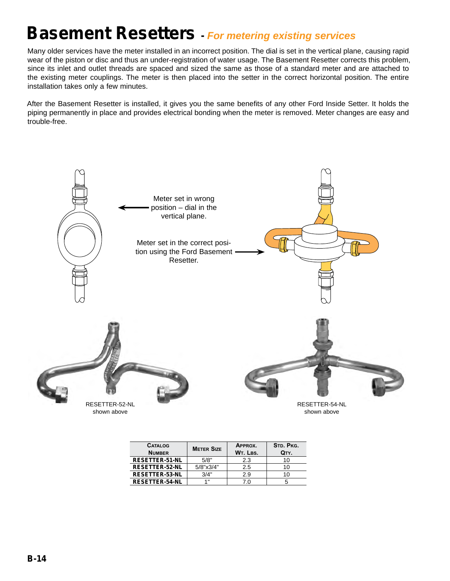## **Basement Resetters -** *For metering existing services*

Many older services have the meter installed in an incorrect position. The dial is set in the vertical plane, causing rapid wear of the piston or disc and thus an under-registration of water usage. The Basement Resetter corrects this problem, since its inlet and outlet threads are spaced and sized the same as those of a standard meter and are attached to the existing meter couplings. The meter is then placed into the setter in the correct horizontal position. The entire installation takes only a few minutes.

After the Basement Resetter is installed, it gives you the same benefits of any other Ford Inside Setter. It holds the piping permanently in place and provides electrical bonding when the meter is removed. Meter changes are easy and trouble-free.



| <b>CATALOG</b>        | <b>METER SIZE</b> | APPROX.  | STD. PKG. |
|-----------------------|-------------------|----------|-----------|
| <b>NUMBER</b>         |                   | WT. LBS. | QTY.      |
| <b>RESETTER-51-NL</b> | 5/8"              | 2.3      | 10        |
| <b>RESETTER-52-NL</b> | 5/8"x3/4"         | 2.5      | 10        |
| <b>RESETTER-53-NL</b> | 3/4"              | 2.9      | 10        |
| <b>RESETTER-54-NL</b> | 1 "               | 7.0      |           |